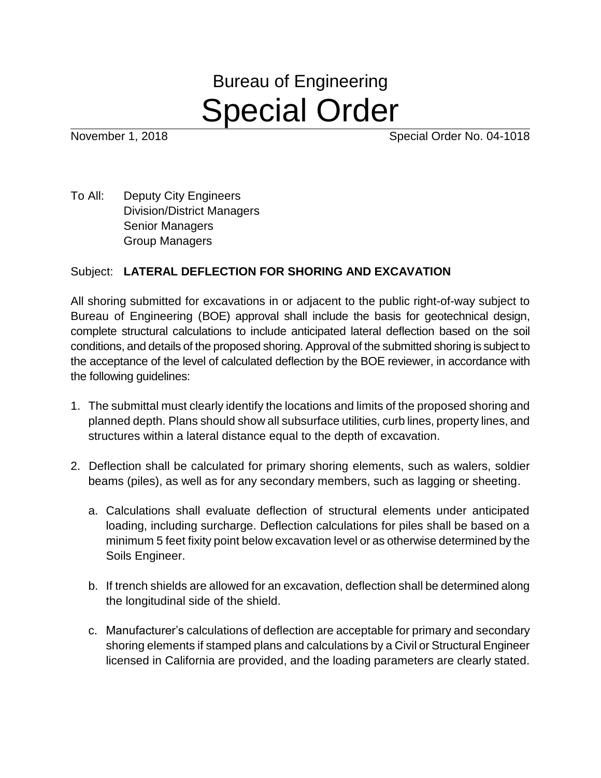## Bureau of Engineering Special Order

November 1, 2018 **November 1, 2018** 

To All: Deputy City Engineers Division/District Managers Senior Managers Group Managers

## Subject: **LATERAL DEFLECTION FOR SHORING AND EXCAVATION**

All shoring submitted for excavations in or adjacent to the public right-of-way subject to Bureau of Engineering (BOE) approval shall include the basis for geotechnical design, complete structural calculations to include anticipated lateral deflection based on the soil conditions, and details of the proposed shoring. Approval of the submitted shoring is subject to the acceptance of the level of calculated deflection by the BOE reviewer, in accordance with the following guidelines:

- 1. The submittal must clearly identify the locations and limits of the proposed shoring and planned depth. Plans should show all subsurface utilities, curb lines, property lines, and structures within a lateral distance equal to the depth of excavation.
- 2. Deflection shall be calculated for primary shoring elements, such as walers, soldier beams (piles), as well as for any secondary members, such as lagging or sheeting.
	- a. Calculations shall evaluate deflection of structural elements under anticipated loading, including surcharge. Deflection calculations for piles shall be based on a minimum 5 feet fixity point below excavation level or as otherwise determined by the Soils Engineer.
	- b. If trench shields are allowed for an excavation, deflection shall be determined along the longitudinal side of the shield.
	- c. Manufacturer's calculations of deflection are acceptable for primary and secondary shoring elements if stamped plans and calculations by a Civil or Structural Engineer licensed in California are provided, and the loading parameters are clearly stated.